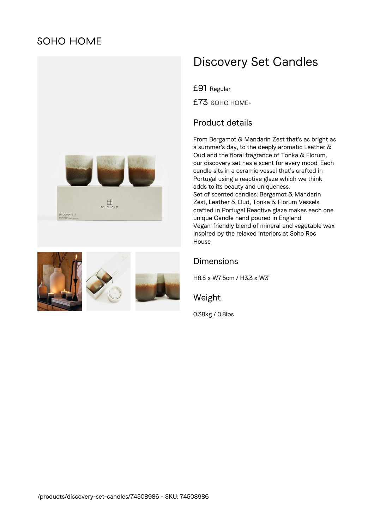# **SOHO HOME**





# Discovery Set Candles

£91 Regular

£73 SOHO HOME+

## Product details

From Bergamot & Mandarin Zest that's as bright as a summer's day, to the deeply aromatic Leather  $\delta$ Oud and the floral fragrance of Tonka & Florum, our discovery set has a scent for every mood. Each candle sits in a ceramic vessel that's crafted in Portugal using a reactive glaze which we think adds to its beauty and uniqueness. Set of scented candles: Bergamot & Mandarin Zest, Leather & Oud, Tonka & Florum Vessels crafted in Portugal Reactive glaze makes each one unique Candle hand poured in England Vegan-friendly blend of mineral and vegetable wax Inspired by the relaxed interiors at Soho Roc House

#### Dimensions

H8.5 x W7.5cm / H3.3 x W3"

Weight

0.38kg / 0.8lbs